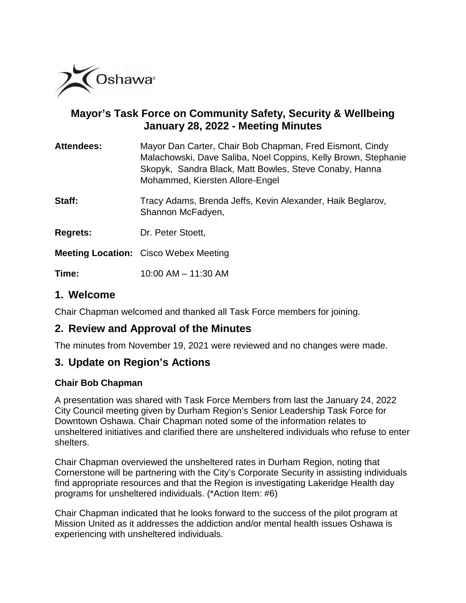

# **Mayor's Task Force on Community Safety, Security & Wellbeing January 28, 2022 - Meeting Minutes**

| <b>Attendees:</b> | Mayor Dan Carter, Chair Bob Chapman, Fred Eismont, Cindy       |
|-------------------|----------------------------------------------------------------|
|                   | Malachowski, Dave Saliba, Noel Coppins, Kelly Brown, Stephanie |
|                   | Skopyk, Sandra Black, Matt Bowles, Steve Conaby, Hanna         |
|                   | Mohammed, Kiersten Allore-Engel                                |
|                   |                                                                |

**Staff:** Tracy Adams, Brenda Jeffs, Kevin Alexander, Haik Beglarov, Shannon McFadyen,

**Regrets:** Dr. Peter Stoett,

**Meeting Location:** Cisco Webex Meeting

**Time:** 10:00 AM – 11:30 AM

## **1. Welcome**

Chair Chapman welcomed and thanked all Task Force members for joining.

## **2. Review and Approval of the Minutes**

The minutes from November 19, 2021 were reviewed and no changes were made.

# **3. Update on Region's Actions**

## **Chair Bob Chapman**

A presentation was shared with Task Force Members from last the January 24, 2022 City Council meeting given by Durham Region's Senior Leadership Task Force for Downtown Oshawa. Chair Chapman noted some of the information relates to unsheltered initiatives and clarified there are unsheltered individuals who refuse to enter shelters.

Chair Chapman overviewed the unsheltered rates in Durham Region, noting that Cornerstone will be partnering with the City's Corporate Security in assisting individuals find appropriate resources and that the Region is investigating Lakeridge Health day programs for unsheltered individuals. (\*Action Item: #6)

Chair Chapman indicated that he looks forward to the success of the pilot program at Mission United as it addresses the addiction and/or mental health issues Oshawa is experiencing with unsheltered individuals.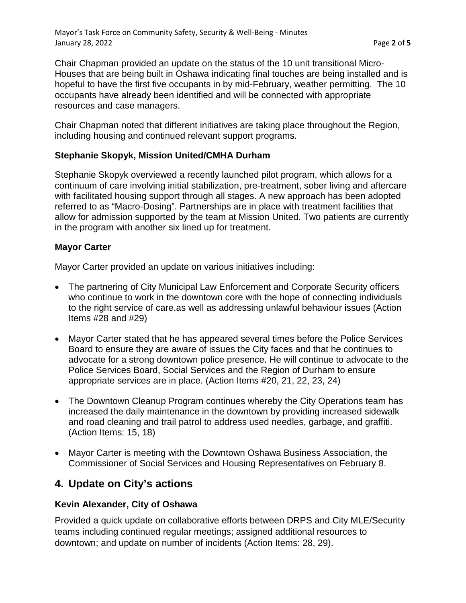Chair Chapman provided an update on the status of the 10 unit transitional Micro-Houses that are being built in Oshawa indicating final touches are being installed and is hopeful to have the first five occupants in by mid-February, weather permitting. The 10 occupants have already been identified and will be connected with appropriate resources and case managers.

Chair Chapman noted that different initiatives are taking place throughout the Region, including housing and continued relevant support programs.

#### **Stephanie Skopyk, Mission United/CMHA Durham**

Stephanie Skopyk overviewed a recently launched pilot program, which allows for a continuum of care involving initial stabilization, pre-treatment, sober living and aftercare with facilitated housing support through all stages. A new approach has been adopted referred to as "Macro-Dosing". Partnerships are in place with treatment facilities that allow for admission supported by the team at Mission United. Two patients are currently in the program with another six lined up for treatment.

### **Mayor Carter**

Mayor Carter provided an update on various initiatives including:

- The partnering of City Municipal Law Enforcement and Corporate Security officers who continue to work in the downtown core with the hope of connecting individuals to the right service of care.as well as addressing unlawful behaviour issues (Action Items #28 and #29)
- Mayor Carter stated that he has appeared several times before the Police Services Board to ensure they are aware of issues the City faces and that he continues to advocate for a strong downtown police presence. He will continue to advocate to the Police Services Board, Social Services and the Region of Durham to ensure appropriate services are in place. (Action Items #20, 21, 22, 23, 24)
- The Downtown Cleanup Program continues whereby the City Operations team has increased the daily maintenance in the downtown by providing increased sidewalk and road cleaning and trail patrol to address used needles, garbage, and graffiti. (Action Items: 15, 18)
- Mayor Carter is meeting with the Downtown Oshawa Business Association, the Commissioner of Social Services and Housing Representatives on February 8.

## **4. Update on City's actions**

#### **Kevin Alexander, City of Oshawa**

Provided a quick update on collaborative efforts between DRPS and City MLE/Security teams including continued regular meetings; assigned additional resources to downtown; and update on number of incidents (Action Items: 28, 29).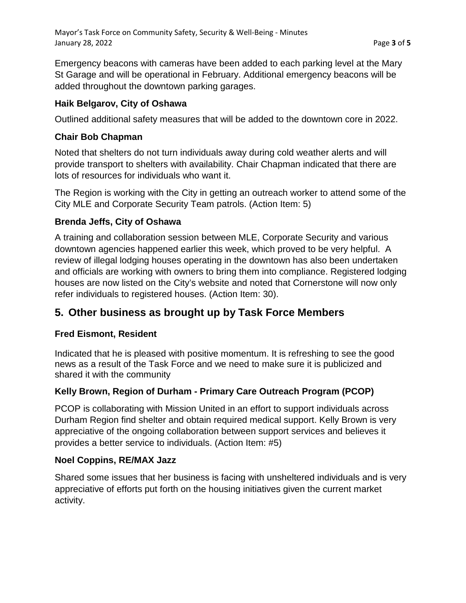Emergency beacons with cameras have been added to each parking level at the Mary St Garage and will be operational in February. Additional emergency beacons will be added throughout the downtown parking garages.

## **Haik Belgarov, City of Oshawa**

Outlined additional safety measures that will be added to the downtown core in 2022.

### **Chair Bob Chapman**

Noted that shelters do not turn individuals away during cold weather alerts and will provide transport to shelters with availability. Chair Chapman indicated that there are lots of resources for individuals who want it.

The Region is working with the City in getting an outreach worker to attend some of the City MLE and Corporate Security Team patrols. (Action Item: 5)

## **Brenda Jeffs, City of Oshawa**

A training and collaboration session between MLE, Corporate Security and various downtown agencies happened earlier this week, which proved to be very helpful. A review of illegal lodging houses operating in the downtown has also been undertaken and officials are working with owners to bring them into compliance. Registered lodging houses are now listed on the City's website and noted that Cornerstone will now only refer individuals to registered houses. (Action Item: 30).

# **5. Other business as brought up by Task Force Members**

## **Fred Eismont, Resident**

Indicated that he is pleased with positive momentum. It is refreshing to see the good news as a result of the Task Force and we need to make sure it is publicized and shared it with the community

## **Kelly Brown, Region of Durham - Primary Care Outreach Program (PCOP)**

PCOP is collaborating with Mission United in an effort to support individuals across Durham Region find shelter and obtain required medical support. Kelly Brown is very appreciative of the ongoing collaboration between support services and believes it provides a better service to individuals. (Action Item: #5)

#### **Noel Coppins, RE/MAX Jazz**

Shared some issues that her business is facing with unsheltered individuals and is very appreciative of efforts put forth on the housing initiatives given the current market activity.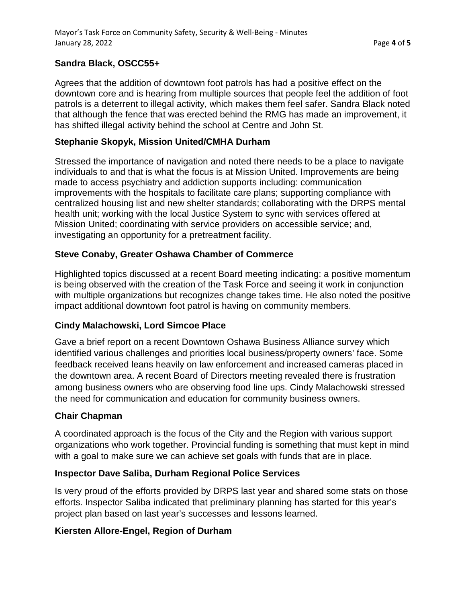### **Sandra Black, OSCC55+**

Agrees that the addition of downtown foot patrols has had a positive effect on the downtown core and is hearing from multiple sources that people feel the addition of foot patrols is a deterrent to illegal activity, which makes them feel safer. Sandra Black noted that although the fence that was erected behind the RMG has made an improvement, it has shifted illegal activity behind the school at Centre and John St.

#### **Stephanie Skopyk, Mission United/CMHA Durham**

Stressed the importance of navigation and noted there needs to be a place to navigate individuals to and that is what the focus is at Mission United. Improvements are being made to access psychiatry and addiction supports including: communication improvements with the hospitals to facilitate care plans; supporting compliance with centralized housing list and new shelter standards; collaborating with the DRPS mental health unit; working with the local Justice System to sync with services offered at Mission United; coordinating with service providers on accessible service; and, investigating an opportunity for a pretreatment facility.

### **Steve Conaby, Greater Oshawa Chamber of Commerce**

Highlighted topics discussed at a recent Board meeting indicating: a positive momentum is being observed with the creation of the Task Force and seeing it work in conjunction with multiple organizations but recognizes change takes time. He also noted the positive impact additional downtown foot patrol is having on community members.

#### **Cindy Malachowski, Lord Simcoe Place**

Gave a brief report on a recent Downtown Oshawa Business Alliance survey which identified various challenges and priorities local business/property owners' face. Some feedback received leans heavily on law enforcement and increased cameras placed in the downtown area. A recent Board of Directors meeting revealed there is frustration among business owners who are observing food line ups. Cindy Malachowski stressed the need for communication and education for community business owners.

#### **Chair Chapman**

A coordinated approach is the focus of the City and the Region with various support organizations who work together. Provincial funding is something that must kept in mind with a goal to make sure we can achieve set goals with funds that are in place.

#### **Inspector Dave Saliba, Durham Regional Police Services**

Is very proud of the efforts provided by DRPS last year and shared some stats on those efforts. Inspector Saliba indicated that preliminary planning has started for this year's project plan based on last year's successes and lessons learned.

#### **Kiersten Allore-Engel, Region of Durham**